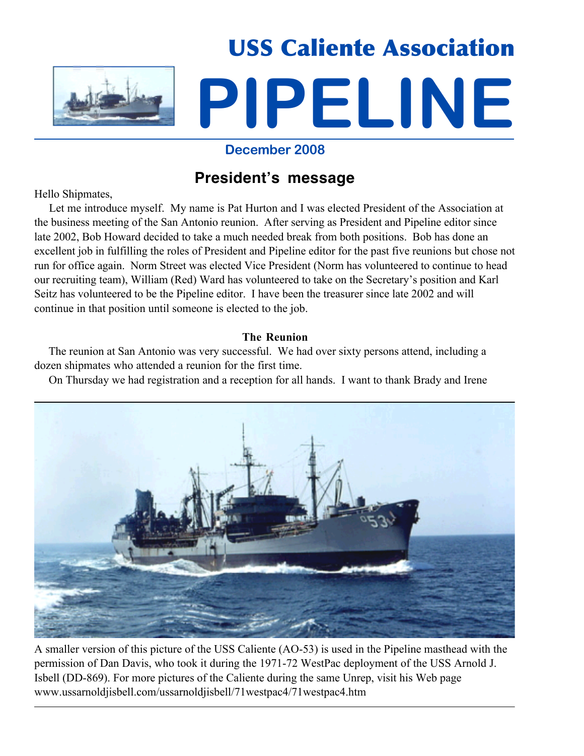

### **December 2008**

# **President's message**

Hello Shipmates,

 Let me introduce myself. My name is Pat Hurton and I was elected President of the Association at the business meeting of the San Antonio reunion. After serving as President and Pipeline editor since late 2002, Bob Howard decided to take a much needed break from both positions. Bob has done an excellent job in fulfilling the roles of President and Pipeline editor for the past five reunions but chose not run for office again. Norm Street was elected Vice President (Norm has volunteered to continue to head our recruiting team), William (Red) Ward has volunteered to take on the Secretary's position and Karl Seitz has volunteered to be the Pipeline editor. I have been the treasurer since late 2002 and will continue in that position until someone is elected to the job.

### **The Reunion**

 The reunion at San Antonio was very successful. We had over sixty persons attend, including a dozen shipmates who attended a reunion for the first time.

On Thursday we had registration and a reception for all hands. I want to thank Brady and Irene



A smaller version of this picture of the USS Caliente (AO-53) is used in the Pipeline masthead with the permission of Dan Davis, who took it during the 1971-72 WestPac deployment of the USS Arnold J. Isbell (DD-869). For more pictures of the Caliente during the same Unrep, visit his Web page www.ussarnoldjisbell.com/ussarnoldjisbell/71westpac4/71westpac4.htm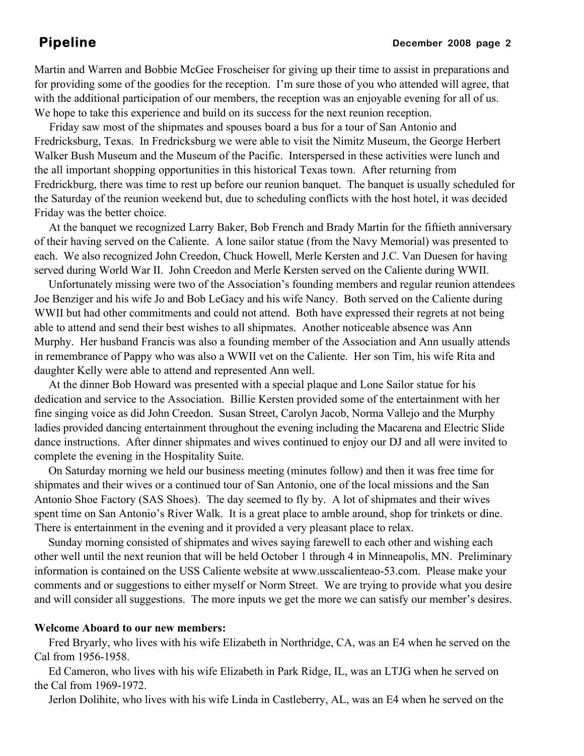Martin and Warren and Bobbie McGee Froscheiser for giving up their time to assist in preparations and for providing some of the goodies for the reception. I'm sure those of you who attended will agree, that with the additional participation of our members, the reception was an enjoyable evening for all of us. We hope to take this experience and build on its success for the next reunion reception.

 Friday saw most of the shipmates and spouses board a bus for a tour of San Antonio and Fredricksburg, Texas. In Fredricksburg we were able to visit the Nimitz Museum, the George Herbert Walker Bush Museum and the Museum of the Pacific. Interspersed in these activities were lunch and the all important shopping opportunities in this historical Texas town. After returning from Fredrickburg, there was time to rest up before our reunion banquet. The banquet is usually scheduled for the Saturday of the reunion weekend but, due to scheduling conflicts with the host hotel, it was decided Friday was the better choice.

 At the banquet we recognized Larry Baker, Bob French and Brady Martin for the fiftieth anniversary of their having served on the Caliente. A lone sailor statue (from the Navy Memorial) was presented to each. We also recognized John Creedon, Chuck Howell, Merle Kersten and J.C. Van Duesen for having served during World War II. John Creedon and Merle Kersten served on the Caliente during WWII.

 Unfortunately missing were two of the Association's founding members and regular reunion attendees Joe Benziger and his wife Jo and Bob LeGacy and his wife Nancy. Both served on the Caliente during WWII but had other commitments and could not attend. Both have expressed their regrets at not being able to attend and send their best wishes to all shipmates. Another noticeable absence was Ann Murphy. Her husband Francis was also a founding member of the Association and Ann usually attends in remembrance of Pappy who was also a WWII vet on the Caliente. Her son Tim, his wife Rita and daughter Kelly were able to attend and represented Ann well.

 At the dinner Bob Howard was presented with a special plaque and Lone Sailor statue for his dedication and service to the Association. Billie Kersten provided some of the entertainment with her fine singing voice as did John Creedon. Susan Street, Carolyn Jacob, Norma Vallejo and the Murphy ladies provided dancing entertainment throughout the evening including the Macarena and Electric Slide dance instructions. After dinner shipmates and wives continued to enjoy our DJ and all were invited to complete the evening in the Hospitality Suite.

 On Saturday morning we held our business meeting (minutes follow) and then it was free time for shipmates and their wives or a continued tour of San Antonio, one of the local missions and the San Antonio Shoe Factory (SAS Shoes). The day seemed to fly by. A lot of shipmates and their wives spent time on San Antonio's River Walk. It is a great place to amble around, shop for trinkets or dine. There is entertainment in the evening and it provided a very pleasant place to relax.

 Sunday morning consisted of shipmates and wives saying farewell to each other and wishing each other well until the next reunion that will be held October 1 through 4 in Minneapolis, MN. Preliminary information is contained on the USS Caliente website at www.usscalienteao-53.com. Please make your comments and or suggestions to either myself or Norm Street. We are trying to provide what you desire and will consider all suggestions. The more inputs we get the more we can satisfy our member's desires.

### **Welcome Aboard to our new members:**

 Fred Bryarly, who lives with his wife Elizabeth in Northridge, CA, was an E4 when he served on the Cal from 1956-1958.

 Ed Cameron, who lives with his wife Elizabeth in Park Ridge, IL, was an LTJG when he served on the Cal from 1969-1972.

Jerlon Dolihite, who lives with his wife Linda in Castleberry, AL, was an E4 when he served on the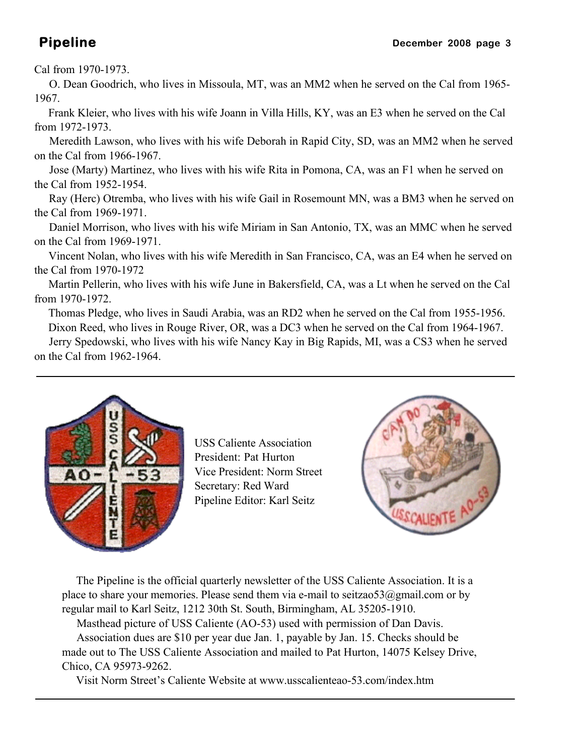### Cal from 1970-1973.

 O. Dean Goodrich, who lives in Missoula, MT, was an MM2 when he served on the Cal from 1965- 1967.

 Frank Kleier, who lives with his wife Joann in Villa Hills, KY, was an E3 when he served on the Cal from 1972-1973.

 Meredith Lawson, who lives with his wife Deborah in Rapid City, SD, was an MM2 when he served on the Cal from 1966-1967.

 Jose (Marty) Martinez, who lives with his wife Rita in Pomona, CA, was an F1 when he served on the Cal from 1952-1954.

 Ray (Herc) Otremba, who lives with his wife Gail in Rosemount MN, was a BM3 when he served on the Cal from 1969-1971.

 Daniel Morrison, who lives with his wife Miriam in San Antonio, TX, was an MMC when he served on the Cal from 1969-1971.

 Vincent Nolan, who lives with his wife Meredith in San Francisco, CA, was an E4 when he served on the Cal from 1970-1972

 Martin Pellerin, who lives with his wife June in Bakersfield, CA, was a Lt when he served on the Cal from 1970-1972.

Thomas Pledge, who lives in Saudi Arabia, was an RD2 when he served on the Cal from 1955-1956.

 Dixon Reed, who lives in Rouge River, OR, was a DC3 when he served on the Cal from 1964-1967. Jerry Spedowski, who lives with his wife Nancy Kay in Big Rapids, MI, was a CS3 when he served on the Cal from 1962-1964.



USS Caliente Association President: Pat Hurton Vice President: Norm Street Secretary: Red Ward Pipeline Editor: Karl Seitz



 The Pipeline is the official quarterly newsletter of the USS Caliente Association. It is a place to share your memories. Please send them via e-mail to seitzao53@gmail.com or by regular mail to Karl Seitz, 1212 30th St. South, Birmingham, AL 35205-1910.

 Masthead picture of USS Caliente (AO-53) used with permission of Dan Davis. Association dues are \$10 per year due Jan. 1, payable by Jan. 15. Checks should be made out to The USS Caliente Association and mailed to Pat Hurton, 14075 Kelsey Drive, Chico, CA 95973-9262.

Visit Norm Street's Caliente Website at www.usscalienteao-53.com/index.htm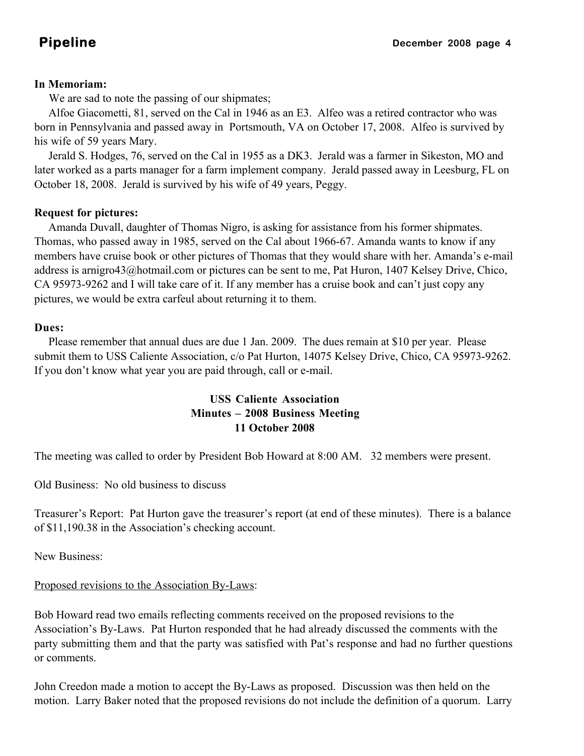### **In Memoriam:**

We are sad to note the passing of our shipmates;

 Alfoe Giacometti, 81, served on the Cal in 1946 as an E3. Alfeo was a retired contractor who was born in Pennsylvania and passed away in Portsmouth, VA on October 17, 2008. Alfeo is survived by his wife of 59 years Mary.

 Jerald S. Hodges, 76, served on the Cal in 1955 as a DK3. Jerald was a farmer in Sikeston, MO and later worked as a parts manager for a farm implement company. Jerald passed away in Leesburg, FL on October 18, 2008. Jerald is survived by his wife of 49 years, Peggy.

### **Request for pictures:**

 Amanda Duvall, daughter of Thomas Nigro, is asking for assistance from his former shipmates. Thomas, who passed away in 1985, served on the Cal about 1966-67. Amanda wants to know if any members have cruise book or other pictures of Thomas that they would share with her. Amanda's e-mail address is arnigro43@hotmail.com or pictures can be sent to me, Pat Huron, 1407 Kelsey Drive, Chico, CA 95973-9262 and I will take care of it. If any member has a cruise book and can't just copy any pictures, we would be extra carfeul about returning it to them.

### **Dues:**

 Please remember that annual dues are due 1 Jan. 2009. The dues remain at \$10 per year. Please submit them to USS Caliente Association, c/o Pat Hurton, 14075 Kelsey Drive, Chico, CA 95973-9262. If you don't know what year you are paid through, call or e-mail.

### **USS Caliente Association Minutes – 2008 Business Meeting 11 October 2008**

The meeting was called to order by President Bob Howard at 8:00 AM. 32 members were present.

Old Business: No old business to discuss

Treasurer's Report: Pat Hurton gave the treasurer's report (at end of these minutes). There is a balance of \$11,190.38 in the Association's checking account.

New Business:

### Proposed revisions to the Association By-Laws:

Bob Howard read two emails reflecting comments received on the proposed revisions to the Association's By-Laws. Pat Hurton responded that he had already discussed the comments with the party submitting them and that the party was satisfied with Pat's response and had no further questions or comments.

John Creedon made a motion to accept the By-Laws as proposed. Discussion was then held on the motion. Larry Baker noted that the proposed revisions do not include the definition of a quorum. Larry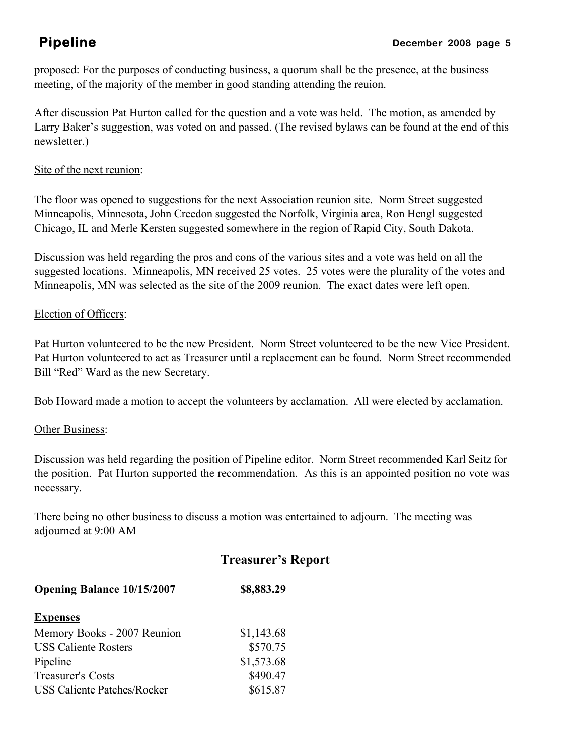proposed: For the purposes of conducting business, a quorum shall be the presence, at the business meeting, of the majority of the member in good standing attending the reuion.

After discussion Pat Hurton called for the question and a vote was held. The motion, as amended by Larry Baker's suggestion, was voted on and passed. (The revised bylaws can be found at the end of this newsletter.)

### Site of the next reunion:

The floor was opened to suggestions for the next Association reunion site. Norm Street suggested Minneapolis, Minnesota, John Creedon suggested the Norfolk, Virginia area, Ron Hengl suggested Chicago, IL and Merle Kersten suggested somewhere in the region of Rapid City, South Dakota.

Discussion was held regarding the pros and cons of the various sites and a vote was held on all the suggested locations. Minneapolis, MN received 25 votes. 25 votes were the plurality of the votes and Minneapolis, MN was selected as the site of the 2009 reunion. The exact dates were left open.

### Election of Officers:

Pat Hurton volunteered to be the new President. Norm Street volunteered to be the new Vice President. Pat Hurton volunteered to act as Treasurer until a replacement can be found. Norm Street recommended Bill "Red" Ward as the new Secretary.

Bob Howard made a motion to accept the volunteers by acclamation. All were elected by acclamation.

### **Other Business:**

Discussion was held regarding the position of Pipeline editor. Norm Street recommended Karl Seitz for the position. Pat Hurton supported the recommendation. As this is an appointed position no vote was necessary.

There being no other business to discuss a motion was entertained to adjourn. The meeting was adjourned at 9:00 AM

# **Treasurer's Report**

| <b>Opening Balance 10/15/2007</b>  | \$8,883.29 |  |
|------------------------------------|------------|--|
| <b>Expenses</b>                    |            |  |
| Memory Books - 2007 Reunion        | \$1,143.68 |  |
| <b>USS Caliente Rosters</b>        | \$570.75   |  |
| Pipeline                           | \$1,573.68 |  |
| <b>Treasurer's Costs</b>           | \$490.47   |  |
| <b>USS Caliente Patches/Rocker</b> | \$615.87   |  |
|                                    |            |  |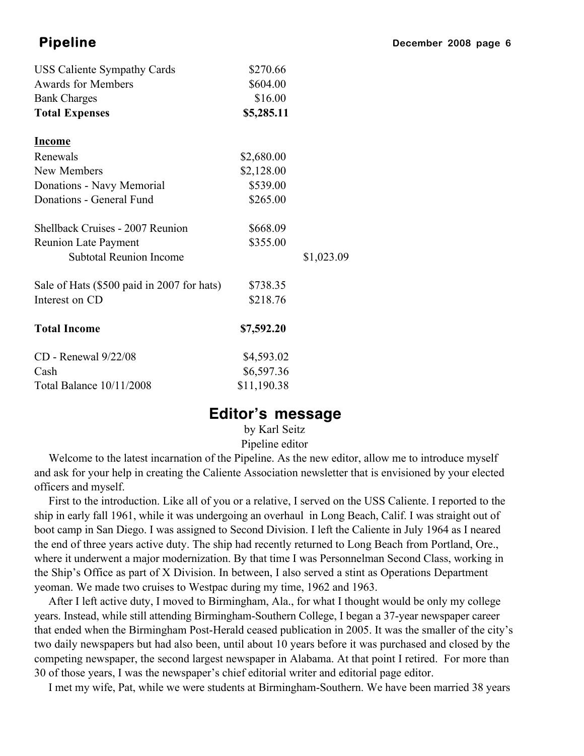| <b>USS Caliente Sympathy Cards</b>         | \$270.66    |            |
|--------------------------------------------|-------------|------------|
| <b>Awards for Members</b>                  | \$604.00    |            |
| <b>Bank Charges</b>                        | \$16.00     |            |
| <b>Total Expenses</b>                      | \$5,285.11  |            |
| <b>Income</b>                              |             |            |
| Renewals                                   | \$2,680.00  |            |
| New Members                                | \$2,128.00  |            |
| Donations - Navy Memorial                  | \$539.00    |            |
| Donations - General Fund                   | \$265.00    |            |
| Shellback Cruises - 2007 Reunion           | \$668.09    |            |
| <b>Reunion Late Payment</b>                | \$355.00    |            |
| <b>Subtotal Reunion Income</b>             |             | \$1,023.09 |
| Sale of Hats (\$500 paid in 2007 for hats) | \$738.35    |            |
| Interest on CD                             | \$218.76    |            |
| <b>Total Income</b>                        | \$7,592.20  |            |
| CD - Renewal 9/22/08                       | \$4,593.02  |            |
| Cash                                       | \$6,597.36  |            |
| Total Balance 10/11/2008                   | \$11,190.38 |            |

## **Editor's message**

by Karl Seitz Pipeline editor

 Welcome to the latest incarnation of the Pipeline. As the new editor, allow me to introduce myself and ask for your help in creating the Caliente Association newsletter that is envisioned by your elected officers and myself.

 First to the introduction. Like all of you or a relative, I served on the USS Caliente. I reported to the ship in early fall 1961, while it was undergoing an overhaul in Long Beach, Calif. I was straight out of boot camp in San Diego. I was assigned to Second Division. I left the Caliente in July 1964 as I neared the end of three years active duty. The ship had recently returned to Long Beach from Portland, Ore., where it underwent a major modernization. By that time I was Personnelman Second Class, working in the Ship's Office as part of X Division. In between, I also served a stint as Operations Department yeoman. We made two cruises to Westpac during my time, 1962 and 1963.

 After I left active duty, I moved to Birmingham, Ala., for what I thought would be only my college years. Instead, while still attending Birmingham-Southern College, I began a 37-year newspaper career that ended when the Birmingham Post-Herald ceased publication in 2005. It was the smaller of the city's two daily newspapers but had also been, until about 10 years before it was purchased and closed by the competing newspaper, the second largest newspaper in Alabama. At that point I retired. For more than 30 of those years, I was the newspaper's chief editorial writer and editorial page editor.

I met my wife, Pat, while we were students at Birmingham-Southern. We have been married 38 years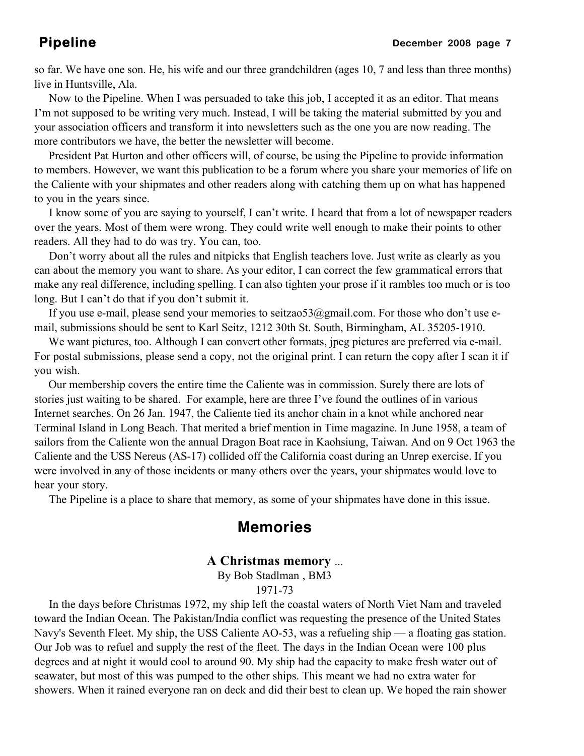so far. We have one son. He, his wife and our three grandchildren (ages 10, 7 and less than three months) live in Huntsville, Ala.

 Now to the Pipeline. When I was persuaded to take this job, I accepted it as an editor. That means I'm not supposed to be writing very much. Instead, I will be taking the material submitted by you and your association officers and transform it into newsletters such as the one you are now reading. The more contributors we have, the better the newsletter will become.

 President Pat Hurton and other officers will, of course, be using the Pipeline to provide information to members. However, we want this publication to be a forum where you share your memories of life on the Caliente with your shipmates and other readers along with catching them up on what has happened to you in the years since.

 I know some of you are saying to yourself, I can't write. I heard that from a lot of newspaper readers over the years. Most of them were wrong. They could write well enough to make their points to other readers. All they had to do was try. You can, too.

 Don't worry about all the rules and nitpicks that English teachers love. Just write as clearly as you can about the memory you want to share. As your editor, I can correct the few grammatical errors that make any real difference, including spelling. I can also tighten your prose if it rambles too much or is too long. But I can't do that if you don't submit it.

 If you use e-mail, please send your memories to seitzao53@gmail.com. For those who don't use email, submissions should be sent to Karl Seitz, 1212 30th St. South, Birmingham, AL 35205-1910.

We want pictures, too. Although I can convert other formats, jpeg pictures are preferred via e-mail. For postal submissions, please send a copy, not the original print. I can return the copy after I scan it if you wish.

 Our membership covers the entire time the Caliente was in commission. Surely there are lots of stories just waiting to be shared. For example, here are three I've found the outlines of in various Internet searches. On 26 Jan. 1947, the Caliente tied its anchor chain in a knot while anchored near Terminal Island in Long Beach. That merited a brief mention in Time magazine. In June 1958, a team of sailors from the Caliente won the annual Dragon Boat race in Kaohsiung, Taiwan. And on 9 Oct 1963 the Caliente and the USS Nereus (AS-17) collided off the California coast during an Unrep exercise. If you were involved in any of those incidents or many others over the years, your shipmates would love to hear your story.

The Pipeline is a place to share that memory, as some of your shipmates have done in this issue.

# **Memories**

### **A Christmas memory** ...

By Bob Stadlman , BM3 1971-73

 In the days before Christmas 1972, my ship left the coastal waters of North Viet Nam and traveled toward the Indian Ocean. The Pakistan/India conflict was requesting the presence of the United States Navy's Seventh Fleet. My ship, the USS Caliente AO-53, was a refueling ship — a floating gas station. Our Job was to refuel and supply the rest of the fleet. The days in the Indian Ocean were 100 plus degrees and at night it would cool to around 90. My ship had the capacity to make fresh water out of seawater, but most of this was pumped to the other ships. This meant we had no extra water for showers. When it rained everyone ran on deck and did their best to clean up. We hoped the rain shower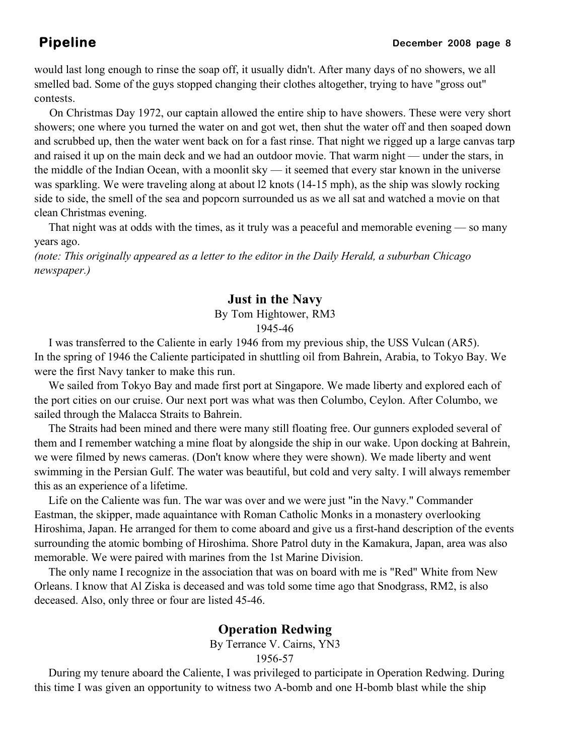would last long enough to rinse the soap off, it usually didn't. After many days of no showers, we all smelled bad. Some of the guys stopped changing their clothes altogether, trying to have "gross out" contests.

 On Christmas Day 1972, our captain allowed the entire ship to have showers. These were very short showers; one where you turned the water on and got wet, then shut the water off and then soaped down and scrubbed up, then the water went back on for a fast rinse. That night we rigged up a large canvas tarp and raised it up on the main deck and we had an outdoor movie. That warm night — under the stars, in the middle of the Indian Ocean, with a moonlit sky — it seemed that every star known in the universe was sparkling. We were traveling along at about l2 knots (14-15 mph), as the ship was slowly rocking side to side, the smell of the sea and popcorn surrounded us as we all sat and watched a movie on that clean Christmas evening.

 That night was at odds with the times, as it truly was a peaceful and memorable evening — so many years ago.

*(note: This originally appeared as a letter to the editor in the Daily Herald, a suburban Chicago newspaper.)*

### **Just in the Navy**

### By Tom Hightower, RM3 1945-46

 I was transferred to the Caliente in early 1946 from my previous ship, the USS Vulcan (AR5). In the spring of 1946 the Caliente participated in shuttling oil from Bahrein, Arabia, to Tokyo Bay. We were the first Navy tanker to make this run.

 We sailed from Tokyo Bay and made first port at Singapore. We made liberty and explored each of the port cities on our cruise. Our next port was what was then Columbo, Ceylon. After Columbo, we sailed through the Malacca Straits to Bahrein.

 The Straits had been mined and there were many still floating free. Our gunners exploded several of them and I remember watching a mine float by alongside the ship in our wake. Upon docking at Bahrein, we were filmed by news cameras. (Don't know where they were shown). We made liberty and went swimming in the Persian Gulf. The water was beautiful, but cold and very salty. I will always remember this as an experience of a lifetime.

 Life on the Caliente was fun. The war was over and we were just "in the Navy." Commander Eastman, the skipper, made aquaintance with Roman Catholic Monks in a monastery overlooking Hiroshima, Japan. He arranged for them to come aboard and give us a first-hand description of the events surrounding the atomic bombing of Hiroshima. Shore Patrol duty in the Kamakura, Japan, area was also memorable. We were paired with marines from the 1st Marine Division.

 The only name I recognize in the association that was on board with me is "Red" White from New Orleans. I know that Al Ziska is deceased and was told some time ago that Snodgrass, RM2, is also deceased. Also, only three or four are listed 45-46.

### **Operation Redwing**

By Terrance V. Cairns, YN3

1956-57

 During my tenure aboard the Caliente, I was privileged to participate in Operation Redwing. During this time I was given an opportunity to witness two A-bomb and one H-bomb blast while the ship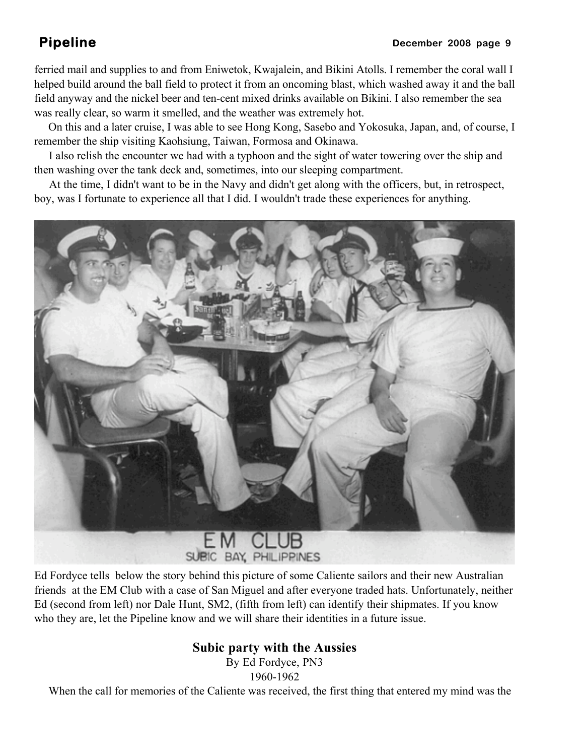ferried mail and supplies to and from Eniwetok, Kwajalein, and Bikini Atolls. I remember the coral wall I helped build around the ball field to protect it from an oncoming blast, which washed away it and the ball field anyway and the nickel beer and ten-cent mixed drinks available on Bikini. I also remember the sea was really clear, so warm it smelled, and the weather was extremely hot.

 On this and a later cruise, I was able to see Hong Kong, Sasebo and Yokosuka, Japan, and, of course, I remember the ship visiting Kaohsiung, Taiwan, Formosa and Okinawa.

 I also relish the encounter we had with a typhoon and the sight of water towering over the ship and then washing over the tank deck and, sometimes, into our sleeping compartment.

 At the time, I didn't want to be in the Navy and didn't get along with the officers, but, in retrospect, boy, was I fortunate to experience all that I did. I wouldn't trade these experiences for anything.



Ed Fordyce tells below the story behind this picture of some Caliente sailors and their new Australian friends at the EM Club with a case of San Miguel and after everyone traded hats. Unfortunately, neither Ed (second from left) nor Dale Hunt, SM2, (fifth from left) can identify their shipmates. If you know who they are, let the Pipeline know and we will share their identities in a future issue.

### **Subic party with the Aussies**

By Ed Fordyce, PN3 1960-1962

When the call for memories of the Caliente was received, the first thing that entered my mind was the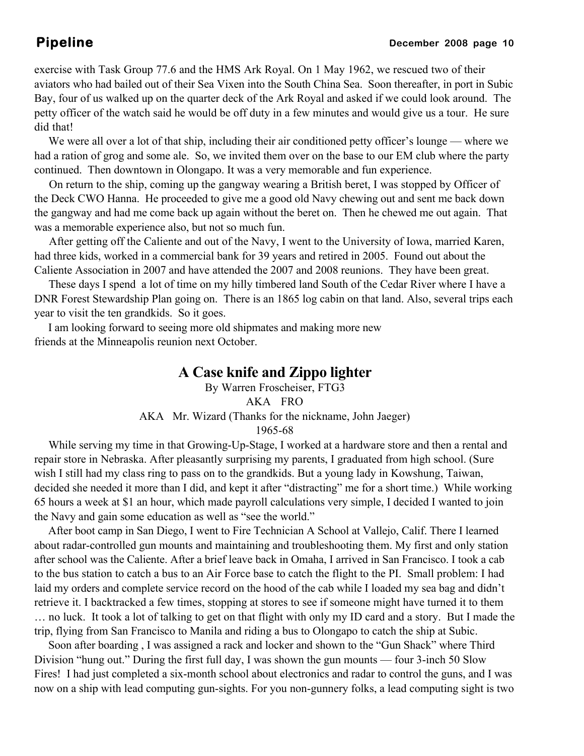exercise with Task Group 77.6 and the HMS Ark Royal. On 1 May 1962, we rescued two of their aviators who had bailed out of their Sea Vixen into the South China Sea. Soon thereafter, in port in Subic Bay, four of us walked up on the quarter deck of the Ark Royal and asked if we could look around. The petty officer of the watch said he would be off duty in a few minutes and would give us a tour. He sure did that!

 We were all over a lot of that ship, including their air conditioned petty officer's lounge — where we had a ration of grog and some ale. So, we invited them over on the base to our EM club where the party continued. Then downtown in Olongapo. It was a very memorable and fun experience.

 On return to the ship, coming up the gangway wearing a British beret, I was stopped by Officer of the Deck CWO Hanna. He proceeded to give me a good old Navy chewing out and sent me back down the gangway and had me come back up again without the beret on. Then he chewed me out again. That was a memorable experience also, but not so much fun.

 After getting off the Caliente and out of the Navy, I went to the University of Iowa, married Karen, had three kids, worked in a commercial bank for 39 years and retired in 2005. Found out about the Caliente Association in 2007 and have attended the 2007 and 2008 reunions. They have been great.

 These days I spend a lot of time on my hilly timbered land South of the Cedar River where I have a DNR Forest Stewardship Plan going on. There is an 1865 log cabin on that land. Also, several trips each year to visit the ten grandkids. So it goes.

 I am looking forward to seeing more old shipmates and making more new friends at the Minneapolis reunion next October.

### **A Case knife and Zippo lighter**

By Warren Froscheiser, FTG3 AKA FRO AKA Mr. Wizard (Thanks for the nickname, John Jaeger) 1965-68

 While serving my time in that Growing-Up-Stage, I worked at a hardware store and then a rental and repair store in Nebraska. After pleasantly surprising my parents, I graduated from high school. (Sure wish I still had my class ring to pass on to the grandkids. But a young lady in Kowshung, Taiwan, decided she needed it more than I did, and kept it after "distracting" me for a short time.) While working 65 hours a week at \$1 an hour, which made payroll calculations very simple, I decided I wanted to join the Navy and gain some education as well as "see the world."

 After boot camp in San Diego, I went to Fire Technician A School at Vallejo, Calif. There I learned about radar-controlled gun mounts and maintaining and troubleshooting them. My first and only station after school was the Caliente. After a brief leave back in Omaha, I arrived in San Francisco. I took a cab to the bus station to catch a bus to an Air Force base to catch the flight to the PI. Small problem: I had laid my orders and complete service record on the hood of the cab while I loaded my sea bag and didn't retrieve it. I backtracked a few times, stopping at stores to see if someone might have turned it to them … no luck. It took a lot of talking to get on that flight with only my ID card and a story. But I made the trip, flying from San Francisco to Manila and riding a bus to Olongapo to catch the ship at Subic.

 Soon after boarding , I was assigned a rack and locker and shown to the "Gun Shack" where Third Division "hung out." During the first full day, I was shown the gun mounts — four 3-inch 50 Slow Fires! I had just completed a six-month school about electronics and radar to control the guns, and I was now on a ship with lead computing gun-sights. For you non-gunnery folks, a lead computing sight is two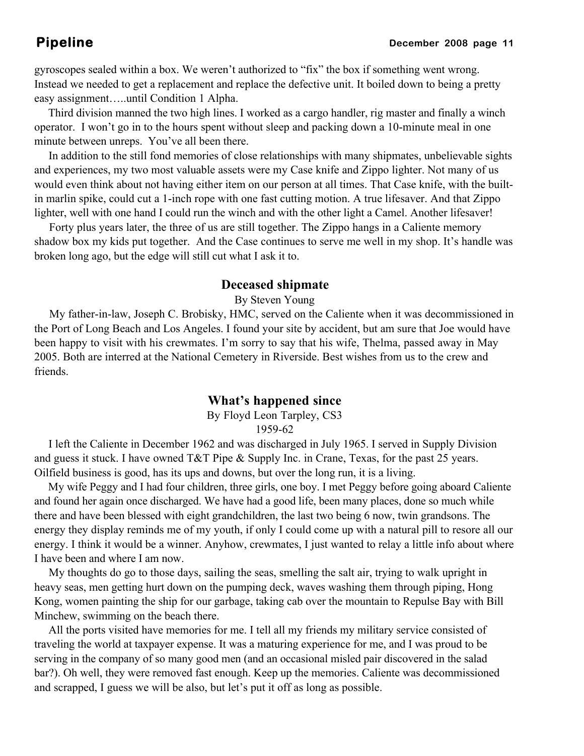gyroscopes sealed within a box. We weren't authorized to "fix" the box if something went wrong. Instead we needed to get a replacement and replace the defective unit. It boiled down to being a pretty easy assignment…..until Condition 1 Alpha.

 Third division manned the two high lines. I worked as a cargo handler, rig master and finally a winch operator. I won't go in to the hours spent without sleep and packing down a 10-minute meal in one minute between unreps. You've all been there.

 In addition to the still fond memories of close relationships with many shipmates, unbelievable sights and experiences, my two most valuable assets were my Case knife and Zippo lighter. Not many of us would even think about not having either item on our person at all times. That Case knife, with the builtin marlin spike, could cut a 1-inch rope with one fast cutting motion. A true lifesaver. And that Zippo lighter, well with one hand I could run the winch and with the other light a Camel. Another lifesaver!

 Forty plus years later, the three of us are still together. The Zippo hangs in a Caliente memory shadow box my kids put together. And the Case continues to serve me well in my shop. It's handle was broken long ago, but the edge will still cut what I ask it to.

### **Deceased shipmate**

By Steven Young

 My father-in-law, Joseph C. Brobisky, HMC, served on the Caliente when it was decommissioned in the Port of Long Beach and Los Angeles. I found your site by accident, but am sure that Joe would have been happy to visit with his crewmates. I'm sorry to say that his wife, Thelma, passed away in May 2005. Both are interred at the National Cemetery in Riverside. Best wishes from us to the crew and friends.

### **What's happened since**

By Floyd Leon Tarpley, CS3 1959-62

 I left the Caliente in December 1962 and was discharged in July 1965. I served in Supply Division and guess it stuck. I have owned T&T Pipe & Supply Inc. in Crane, Texas, for the past 25 years. Oilfield business is good, has its ups and downs, but over the long run, it is a living.

 My wife Peggy and I had four children, three girls, one boy. I met Peggy before going aboard Caliente and found her again once discharged. We have had a good life, been many places, done so much while there and have been blessed with eight grandchildren, the last two being 6 now, twin grandsons. The energy they display reminds me of my youth, if only I could come up with a natural pill to resore all our energy. I think it would be a winner. Anyhow, crewmates, I just wanted to relay a little info about where I have been and where I am now.

 My thoughts do go to those days, sailing the seas, smelling the salt air, trying to walk upright in heavy seas, men getting hurt down on the pumping deck, waves washing them through piping, Hong Kong, women painting the ship for our garbage, taking cab over the mountain to Repulse Bay with Bill Minchew, swimming on the beach there.

 All the ports visited have memories for me. I tell all my friends my military service consisted of traveling the world at taxpayer expense. It was a maturing experience for me, and I was proud to be serving in the company of so many good men (and an occasional misled pair discovered in the salad bar?). Oh well, they were removed fast enough. Keep up the memories. Caliente was decommissioned and scrapped, I guess we will be also, but let's put it off as long as possible.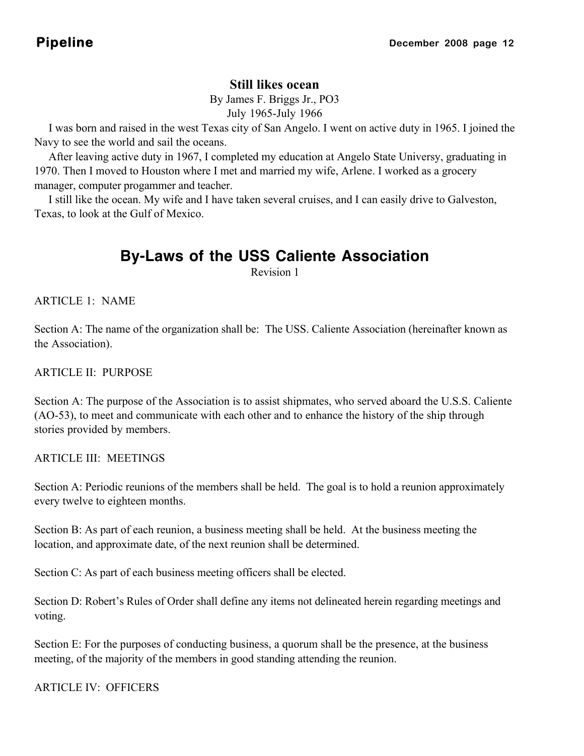### **Still likes ocean**

By James F. Briggs Jr., PO3 July 1965-July 1966

 I was born and raised in the west Texas city of San Angelo. I went on active duty in 1965. I joined the Navy to see the world and sail the oceans.

 After leaving active duty in 1967, I completed my education at Angelo State Universy, graduating in 1970. Then I moved to Houston where I met and married my wife, Arlene. I worked as a grocery manager, computer progammer and teacher.

 I still like the ocean. My wife and I have taken several cruises, and I can easily drive to Galveston, Texas, to look at the Gulf of Mexico.

# **By-Laws of the USS Caliente Association**

Revision 1

 $ARTICLE 1. NAME$ 

Section A: The name of the organization shall be: The USS. Caliente Association (hereinafter known as the Association).

ARTICLE II: PURPOSE

Section A: The purpose of the Association is to assist shipmates, who served aboard the U.S.S. Caliente (AO-53), to meet and communicate with each other and to enhance the history of the ship through stories provided by members.

ARTICLE III: MEETINGS

Section A: Periodic reunions of the members shall be held. The goal is to hold a reunion approximately every twelve to eighteen months.

Section B: As part of each reunion, a business meeting shall be held. At the business meeting the location, and approximate date, of the next reunion shall be determined.

Section C: As part of each business meeting officers shall be elected.

Section D: Robert's Rules of Order shall define any items not delineated herein regarding meetings and voting.

Section E: For the purposes of conducting business, a quorum shall be the presence, at the business meeting, of the majority of the members in good standing attending the reunion.

ARTICLE IV: OFFICERS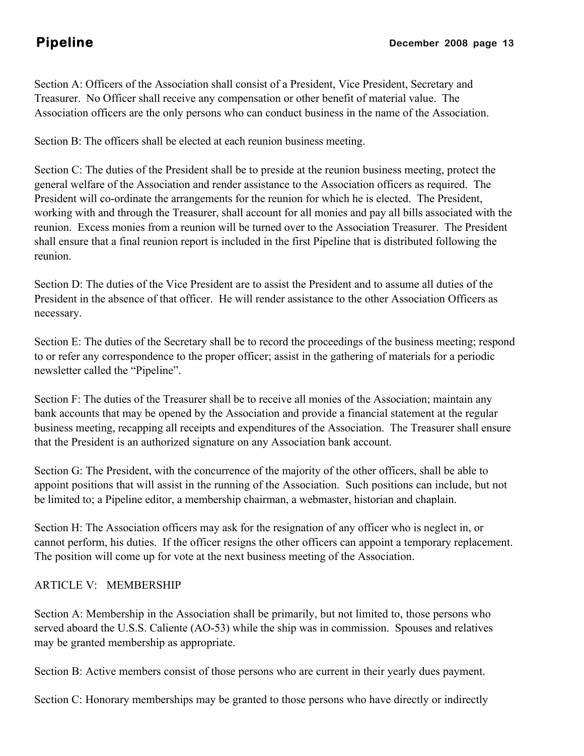Section A: Officers of the Association shall consist of a President, Vice President, Secretary and Treasurer. No Officer shall receive any compensation or other benefit of material value. The Association officers are the only persons who can conduct business in the name of the Association.

Section B: The officers shall be elected at each reunion business meeting.

Section C: The duties of the President shall be to preside at the reunion business meeting, protect the general welfare of the Association and render assistance to the Association officers as required. The President will co-ordinate the arrangements for the reunion for which he is elected. The President, working with and through the Treasurer, shall account for all monies and pay all bills associated with the reunion. Excess monies from a reunion will be turned over to the Association Treasurer. The President shall ensure that a final reunion report is included in the first Pipeline that is distributed following the reunion.

Section D: The duties of the Vice President are to assist the President and to assume all duties of the President in the absence of that officer. He will render assistance to the other Association Officers as necessary.

Section E: The duties of the Secretary shall be to record the proceedings of the business meeting; respond to or refer any correspondence to the proper officer; assist in the gathering of materials for a periodic newsletter called the "Pipeline".

Section F: The duties of the Treasurer shall be to receive all monies of the Association; maintain any bank accounts that may be opened by the Association and provide a financial statement at the regular business meeting, recapping all receipts and expenditures of the Association. The Treasurer shall ensure that the President is an authorized signature on any Association bank account.

Section G: The President, with the concurrence of the majority of the other officers, shall be able to appoint positions that will assist in the running of the Association. Such positions can include, but not be limited to; a Pipeline editor, a membership chairman, a webmaster, historian and chaplain.

Section H: The Association officers may ask for the resignation of any officer who is neglect in, or cannot perform, his duties. If the officer resigns the other officers can appoint a temporary replacement. The position will come up for vote at the next business meeting of the Association.

### ARTICLE V: MEMBERSHIP

Section A: Membership in the Association shall be primarily, but not limited to, those persons who served aboard the U.S.S. Caliente (AO-53) while the ship was in commission. Spouses and relatives may be granted membership as appropriate.

Section B: Active members consist of those persons who are current in their yearly dues payment.

Section C: Honorary memberships may be granted to those persons who have directly or indirectly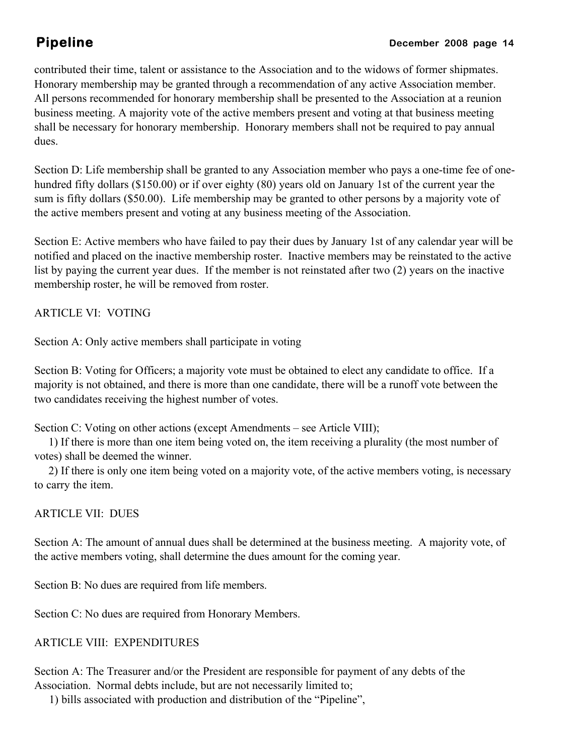contributed their time, talent or assistance to the Association and to the widows of former shipmates. Honorary membership may be granted through a recommendation of any active Association member. All persons recommended for honorary membership shall be presented to the Association at a reunion business meeting. A majority vote of the active members present and voting at that business meeting shall be necessary for honorary membership. Honorary members shall not be required to pay annual dues.

Section D: Life membership shall be granted to any Association member who pays a one-time fee of onehundred fifty dollars (\$150.00) or if over eighty (80) years old on January 1st of the current year the sum is fifty dollars (\$50.00). Life membership may be granted to other persons by a majority vote of the active members present and voting at any business meeting of the Association.

Section E: Active members who have failed to pay their dues by January 1st of any calendar year will be notified and placed on the inactive membership roster. Inactive members may be reinstated to the active list by paying the current year dues. If the member is not reinstated after two (2) years on the inactive membership roster, he will be removed from roster.

ARTICLE VI: VOTING

Section A: Only active members shall participate in voting

Section B: Voting for Officers; a majority vote must be obtained to elect any candidate to office. If a majority is not obtained, and there is more than one candidate, there will be a runoff vote between the two candidates receiving the highest number of votes.

Section C: Voting on other actions (except Amendments – see Article VIII);

 1) If there is more than one item being voted on, the item receiving a plurality (the most number of votes) shall be deemed the winner.

 2) If there is only one item being voted on a majority vote, of the active members voting, is necessary to carry the item.

ARTICLE VII: DUES

Section A: The amount of annual dues shall be determined at the business meeting. A majority vote, of the active members voting, shall determine the dues amount for the coming year.

Section B: No dues are required from life members.

Section C: No dues are required from Honorary Members.

ARTICLE VIII: EXPENDITURES

Section A: The Treasurer and/or the President are responsible for payment of any debts of the Association. Normal debts include, but are not necessarily limited to;

1) bills associated with production and distribution of the "Pipeline",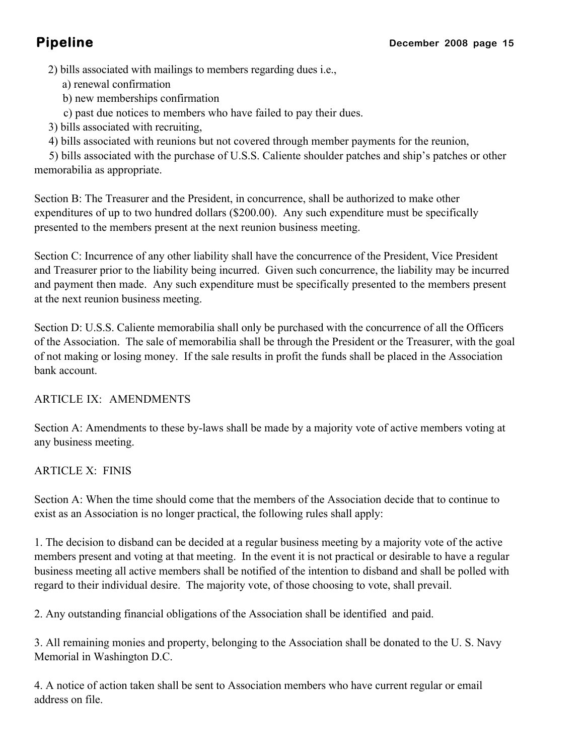2) bills associated with mailings to members regarding dues i.e.,

- a) renewal confirmation
- b) new memberships confirmation
- c) past due notices to members who have failed to pay their dues.
- 3) bills associated with recruiting,
- 4) bills associated with reunions but not covered through member payments for the reunion,

 5) bills associated with the purchase of U.S.S. Caliente shoulder patches and ship's patches or other memorabilia as appropriate.

Section B: The Treasurer and the President, in concurrence, shall be authorized to make other expenditures of up to two hundred dollars (\$200.00). Any such expenditure must be specifically presented to the members present at the next reunion business meeting.

Section C: Incurrence of any other liability shall have the concurrence of the President, Vice President and Treasurer prior to the liability being incurred. Given such concurrence, the liability may be incurred and payment then made. Any such expenditure must be specifically presented to the members present at the next reunion business meeting.

Section D: U.S.S. Caliente memorabilia shall only be purchased with the concurrence of all the Officers of the Association. The sale of memorabilia shall be through the President or the Treasurer, with the goal of not making or losing money. If the sale results in profit the funds shall be placed in the Association bank account.

### ARTICLE IX: AMENDMENTS

Section A: Amendments to these by-laws shall be made by a majority vote of active members voting at any business meeting.

### ARTICLE X: FINIS

Section A: When the time should come that the members of the Association decide that to continue to exist as an Association is no longer practical, the following rules shall apply:

1. The decision to disband can be decided at a regular business meeting by a majority vote of the active members present and voting at that meeting. In the event it is not practical or desirable to have a regular business meeting all active members shall be notified of the intention to disband and shall be polled with regard to their individual desire. The majority vote, of those choosing to vote, shall prevail.

2. Any outstanding financial obligations of the Association shall be identified and paid.

3. All remaining monies and property, belonging to the Association shall be donated to the U. S. Navy Memorial in Washington D.C.

4. A notice of action taken shall be sent to Association members who have current regular or email address on file.